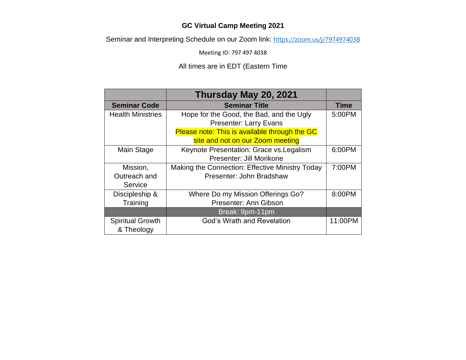## **GC Virtual Camp Meeting 2021**

Seminar and Interpreting Schedule on our Zoom link: [https://zoom.us/j/7974974038](https://nam11.safelinks.protection.outlook.com/?url=https%3A%2F%2Fzoom.us%2Fj%2F7974974038&data=04%7C01%7Cnohelani.jarnes%40waconference.org%7C87d1ae0f5e7449e6fbc208d91b697ac9%7C1fe84723e891492d921c072fd09ba33f%7C0%7C0%7C637570962114371878%7CUnknown%7CTWFpbGZsb3d8eyJWIjoiMC4wLjAwMDAiLCJQIjoiV2luMzIiLCJBTiI6Ik1haWwiLCJXVCI6Mn0%3D%7C1000&sdata=sdVNPtO3jt7dYXl1X8hlgok1CeGqCKykpGljeKXheJo%3D&reserved=0)

Meeting ID: 797 497 4038

## All times are in EDT (Eastern Time

|                          | Thursday May 20, 2021                           |             |
|--------------------------|-------------------------------------------------|-------------|
| <b>Seminar Code</b>      | <b>Seminar Title</b>                            | <b>Time</b> |
| <b>Health Ministries</b> | Hope for the Good, the Bad, and the Ugly        | 5:00PM      |
|                          | <b>Presenter: Larry Evans</b>                   |             |
|                          | Please note: This is available through the GC   |             |
|                          | site and not on our Zoom meeting                |             |
| Main Stage               | Keynote Presentation: Grace vs. Legalism        | 6:00PM      |
|                          | Presenter: Jill Morikone                        |             |
| Mission,                 | Making the Connection: Effective Ministry Today | 7:00PM      |
| Outreach and             | Presenter: John Bradshaw                        |             |
| Service                  |                                                 |             |
| Discipleship &           | Where Do my Mission Offerings Go?               | 8:00PM      |
| Training                 | Presenter: Ann Gibson                           |             |
|                          | Break: 9pm-11pm                                 |             |
| <b>Spiritual Growth</b>  | <b>God's Wrath and Revelation</b>               | 11:00PM     |
| & Theology               |                                                 |             |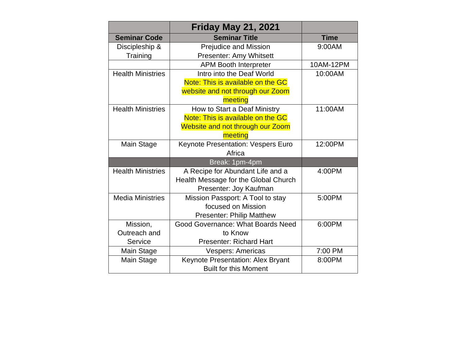|                          | <b>Friday May 21, 2021</b>              |             |
|--------------------------|-----------------------------------------|-------------|
| <b>Seminar Code</b>      | <b>Seminar Title</b>                    | <b>Time</b> |
| Discipleship &           | <b>Prejudice and Mission</b>            | 9:00AM      |
| Training                 | Presenter: Amy Whitsett                 |             |
|                          | <b>APM Booth Interpreter</b>            | 10AM-12PM   |
| <b>Health Ministries</b> | Intro into the Deaf World               | 10:00AM     |
|                          | Note: This is available on the GC       |             |
|                          | website and not through our Zoom        |             |
|                          | meeting                                 |             |
| <b>Health Ministries</b> | How to Start a Deaf Ministry            | 11:00AM     |
|                          | Note: This is available on the GC       |             |
|                          | <b>Website and not through our Zoom</b> |             |
|                          | meeting                                 |             |
| Main Stage               | Keynote Presentation: Vespers Euro      | 12:00PM     |
|                          | Africa                                  |             |
|                          | Break: 1pm-4pm                          |             |
| <b>Health Ministries</b> | A Recipe for Abundant Life and a        | 4:00PM      |
|                          | Health Message for the Global Church    |             |
|                          | Presenter: Joy Kaufman                  |             |
| <b>Media Ministries</b>  | Mission Passport: A Tool to stay        | 5:00PM      |
|                          | focused on Mission                      |             |
|                          | <b>Presenter: Philip Matthew</b>        |             |
| Mission,                 | Good Governance: What Boards Need       | 6:00PM      |
| Outreach and             | to Know                                 |             |
| Service                  | <b>Presenter: Richard Hart</b>          |             |
| <b>Main Stage</b>        | <b>Vespers: Americas</b>                | 7:00 PM     |
| <b>Main Stage</b>        | Keynote Presentation: Alex Bryant       | 8:00PM      |
|                          | <b>Built for this Moment</b>            |             |